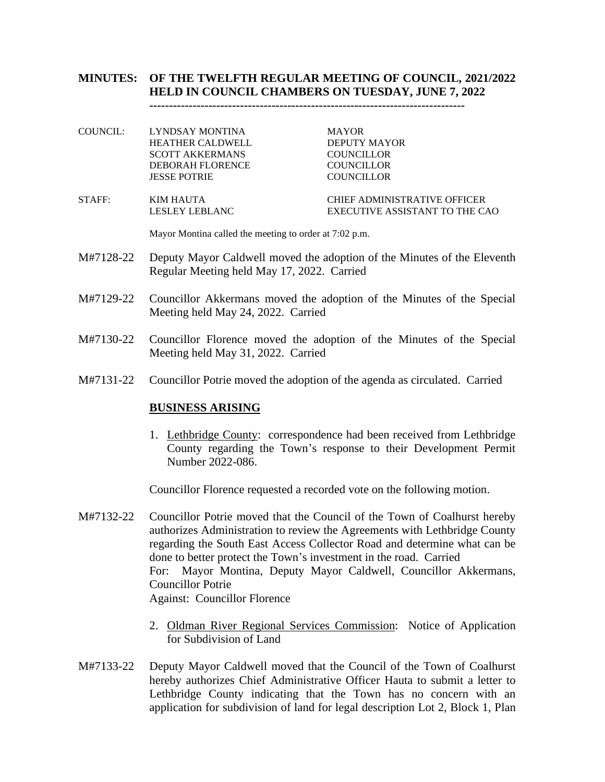# **MINUTES: OF THE TWELFTH REGULAR MEETING OF COUNCIL, 2021/2022 HELD IN COUNCIL CHAMBERS ON TUESDAY, JUNE 7, 2022**

**--------------------------------------------------------------------------------**

COUNCIL: LYNDSAY MONTINA MAYOR HEATHER CALDWELL DEPUTY MAYOR SCOTT AKKERMANS COUNCILLOR DEBORAH FLORENCE COUNCILLOR JESSE POTRIE COUNCILLOR

STAFF: KIM HAUTA CHIEF ADMINISTRATIVE OFFICER LESLEY LEBLANC EXECUTIVE ASSISTANT TO THE CAO

Mayor Montina called the meeting to order at 7:02 p.m.

- M#7128-22 Deputy Mayor Caldwell moved the adoption of the Minutes of the Eleventh Regular Meeting held May 17, 2022. Carried
- M#7129-22 Councillor Akkermans moved the adoption of the Minutes of the Special Meeting held May 24, 2022. Carried
- M#7130-22 Councillor Florence moved the adoption of the Minutes of the Special Meeting held May 31, 2022. Carried
- M#7131-22 Councillor Potrie moved the adoption of the agenda as circulated. Carried

### **BUSINESS ARISING**

1. Lethbridge County: correspondence had been received from Lethbridge County regarding the Town's response to their Development Permit Number 2022-086.

Councillor Florence requested a recorded vote on the following motion.

- M#7132-22 Councillor Potrie moved that the Council of the Town of Coalhurst hereby authorizes Administration to review the Agreements with Lethbridge County regarding the South East Access Collector Road and determine what can be done to better protect the Town's investment in the road. Carried For: Mayor Montina, Deputy Mayor Caldwell, Councillor Akkermans, Councillor Potrie Against: Councillor Florence
	- 2. Oldman River Regional Services Commission: Notice of Application for Subdivision of Land
- M#7133-22 Deputy Mayor Caldwell moved that the Council of the Town of Coalhurst hereby authorizes Chief Administrative Officer Hauta to submit a letter to Lethbridge County indicating that the Town has no concern with an application for subdivision of land for legal description Lot 2, Block 1, Plan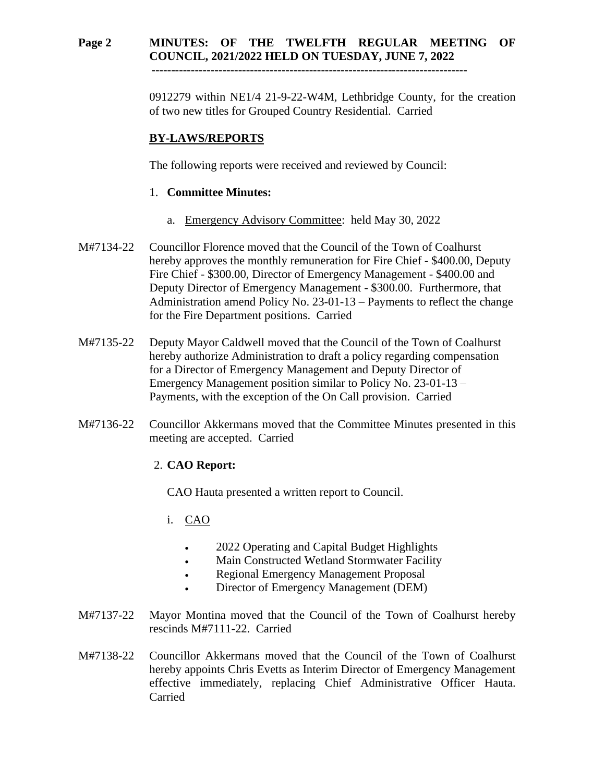## **Page 2 MINUTES: OF THE TWELFTH REGULAR MEETING OF COUNCIL, 2021/2022 HELD ON TUESDAY, JUNE 7, 2022**

 **--------------------------------------------------------------------------------**

0912279 within NE1/4 21-9-22-W4M, Lethbridge County, for the creation of two new titles for Grouped Country Residential. Carried

# **BY-LAWS/REPORTS**

The following reports were received and reviewed by Council:

## 1. **Committee Minutes:**

- a. Emergency Advisory Committee: held May 30, 2022
- M#7134-22 Councillor Florence moved that the Council of the Town of Coalhurst hereby approves the monthly remuneration for Fire Chief - \$400.00, Deputy Fire Chief - \$300.00, Director of Emergency Management - \$400.00 and Deputy Director of Emergency Management - \$300.00. Furthermore, that Administration amend Policy No. 23-01-13 – Payments to reflect the change for the Fire Department positions. Carried
- M#7135-22 Deputy Mayor Caldwell moved that the Council of the Town of Coalhurst hereby authorize Administration to draft a policy regarding compensation for a Director of Emergency Management and Deputy Director of Emergency Management position similar to Policy No. 23-01-13 – Payments, with the exception of the On Call provision. Carried
- M#7136-22 Councillor Akkermans moved that the Committee Minutes presented in this meeting are accepted. Carried

## 2. **CAO Report:**

CAO Hauta presented a written report to Council.

- i. CAO
	- 2022 Operating and Capital Budget Highlights
	- Main Constructed Wetland Stormwater Facility
	- Regional Emergency Management Proposal
	- Director of Emergency Management (DEM)
- M#7137-22 Mayor Montina moved that the Council of the Town of Coalhurst hereby rescinds M#7111-22. Carried
- M#7138-22 Councillor Akkermans moved that the Council of the Town of Coalhurst hereby appoints Chris Evetts as Interim Director of Emergency Management effective immediately, replacing Chief Administrative Officer Hauta. Carried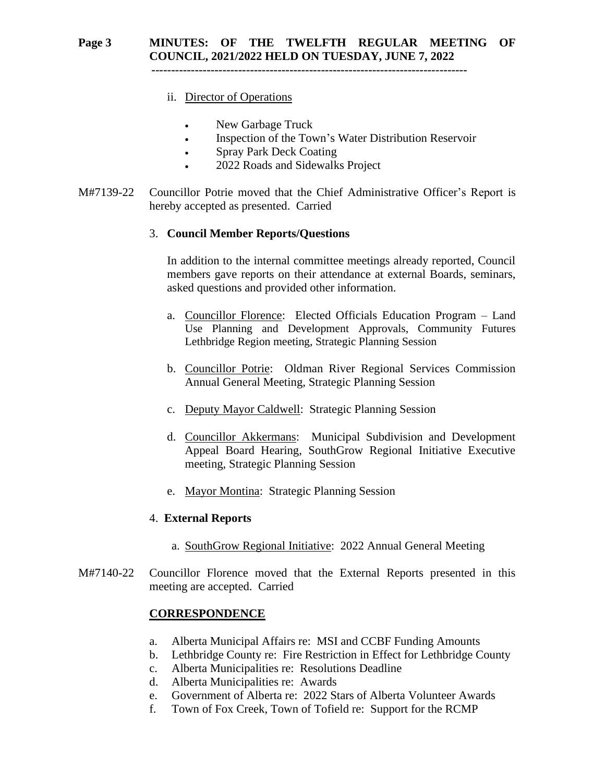# **Page 3 MINUTES: OF THE TWELFTH REGULAR MEETING OF COUNCIL, 2021/2022 HELD ON TUESDAY, JUNE 7, 2022**

 **--------------------------------------------------------------------------------**

- ii. Director of Operations
	- New Garbage Truck
	- Inspection of the Town's Water Distribution Reservoir
	- Spray Park Deck Coating
	- 2022 Roads and Sidewalks Project
- M#7139-22 Councillor Potrie moved that the Chief Administrative Officer's Report is hereby accepted as presented. Carried

### 3. **Council Member Reports/Questions**

In addition to the internal committee meetings already reported, Council members gave reports on their attendance at external Boards, seminars, asked questions and provided other information.

- a. Councillor Florence: Elected Officials Education Program Land Use Planning and Development Approvals, Community Futures Lethbridge Region meeting, Strategic Planning Session
- b. Councillor Potrie: Oldman River Regional Services Commission Annual General Meeting, Strategic Planning Session
- c. Deputy Mayor Caldwell: Strategic Planning Session
- d. Councillor Akkermans: Municipal Subdivision and Development Appeal Board Hearing, SouthGrow Regional Initiative Executive meeting, Strategic Planning Session
- e. Mayor Montina: Strategic Planning Session

#### 4. **External Reports**

- a. SouthGrow Regional Initiative: 2022 Annual General Meeting
- M#7140-22 Councillor Florence moved that the External Reports presented in this meeting are accepted. Carried

### **CORRESPONDENCE**

- a. Alberta Municipal Affairs re: MSI and CCBF Funding Amounts
- b. Lethbridge County re: Fire Restriction in Effect for Lethbridge County
- c. Alberta Municipalities re: Resolutions Deadline
- d. Alberta Municipalities re: Awards
- e. Government of Alberta re: 2022 Stars of Alberta Volunteer Awards
- f. Town of Fox Creek, Town of Tofield re: Support for the RCMP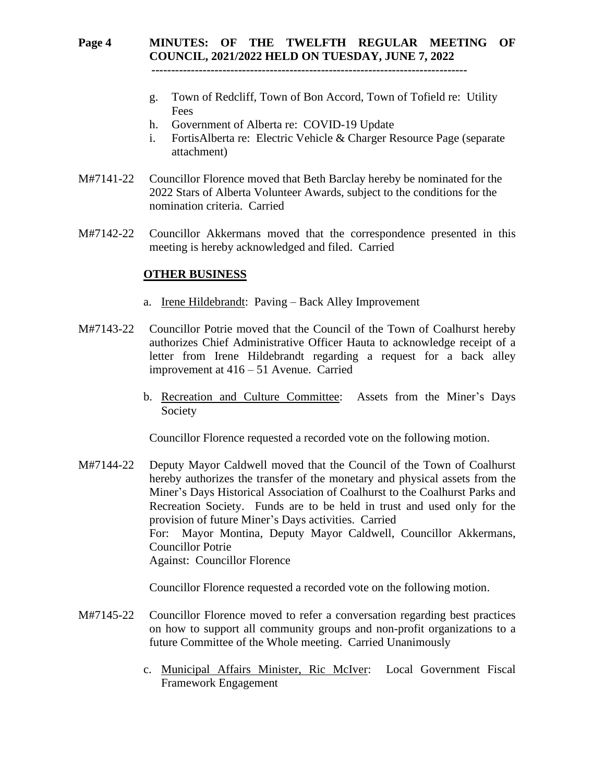# **Page 4 MINUTES: OF THE TWELFTH REGULAR MEETING OF COUNCIL, 2021/2022 HELD ON TUESDAY, JUNE 7, 2022**

 **--------------------------------------------------------------------------------**

- g. Town of Redcliff, Town of Bon Accord, Town of Tofield re: Utility Fees
- h. Government of Alberta re: COVID-19 Update
- i. FortisAlberta re: Electric Vehicle & Charger Resource Page (separate attachment)
- M#7141-22 Councillor Florence moved that Beth Barclay hereby be nominated for the 2022 Stars of Alberta Volunteer Awards, subject to the conditions for the nomination criteria. Carried
- M#7142-22 Councillor Akkermans moved that the correspondence presented in this meeting is hereby acknowledged and filed. Carried

### **OTHER BUSINESS**

- a. Irene Hildebrandt: Paving Back Alley Improvement
- M#7143-22 Councillor Potrie moved that the Council of the Town of Coalhurst hereby authorizes Chief Administrative Officer Hauta to acknowledge receipt of a letter from Irene Hildebrandt regarding a request for a back alley improvement at 416 – 51 Avenue. Carried
	- b. Recreation and Culture Committee: Assets from the Miner's Days Society

Councillor Florence requested a recorded vote on the following motion.

M#7144-22 Deputy Mayor Caldwell moved that the Council of the Town of Coalhurst hereby authorizes the transfer of the monetary and physical assets from the Miner's Days Historical Association of Coalhurst to the Coalhurst Parks and Recreation Society. Funds are to be held in trust and used only for the provision of future Miner's Days activities. Carried For: Mayor Montina, Deputy Mayor Caldwell, Councillor Akkermans, Councillor Potrie Against: Councillor Florence

Councillor Florence requested a recorded vote on the following motion.

- M#7145-22 Councillor Florence moved to refer a conversation regarding best practices on how to support all community groups and non-profit organizations to a future Committee of the Whole meeting. Carried Unanimously
	- c. Municipal Affairs Minister, Ric McIver: Local Government Fiscal Framework Engagement